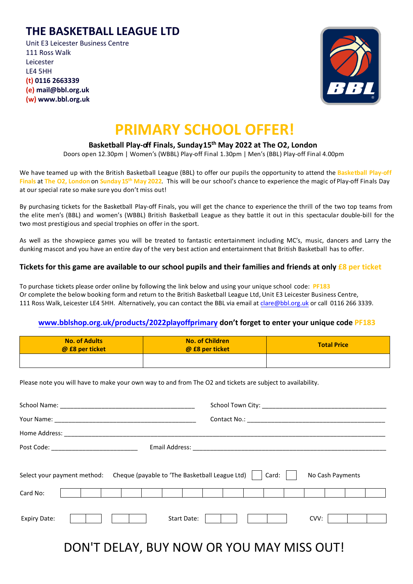### **THE BASKETBALL LEAGUE LTD**

Unit E3 Leicester Business Centre 111 Ross Walk Leicester LE4 5HH **(t) 0116 2663339 (e) mail@bbl.org.uk (w) www.bbl.org.uk**



## **PRIMARY SCHOOL OFFER!**

#### **Basketball Play-off Finals, Sunday15th May 2022 at The O2, London**

Doors open 12.30pm | Women's (WBBL) Play-off Final 1.30pm | Men's (BBL) Play-off Final 4.00pm

We have teamed up with the British Basketball League (BBL) to offer our pupils the opportunity to attend the **Basketball Play-off Finals** at **The O2, London** on **Sunday 15 th May 2022**. This will be our school's chance to experience the magic of Play-off Finals Day at our special rate so make sure you don't miss out!

By purchasing tickets for the Basketball Play-off Finals, you will get the chance to experience the thrill of the two top teams from the elite men's (BBL) and women's (WBBL) British Basketball League as they battle it out in this spectacular double-bill for the two most prestigious and special trophies on offer in the sport.

As well as the showpiece games you will be treated to fantastic entertainment including MC's, music, dancers and Larry the dunking mascot and you have an entire day of the very best action and entertainment that British Basketball has to offer.

#### **Tickets for this game are available to our school pupils and their families and friends at only £8 per ticket**

To purchase tickets please order online by following the link below and using your unique school code: **PF183** Or complete the below booking form and return to the British Basketball League Ltd, Unit E3 Leicester Business Centre, 111 Ross Walk, Leicester LE4 5HH. Alternatively, you can contact the BBL via email at [clare@bbl.org.uk](mailto:clare@bbl.org.uk) or call 0116 266 3339.

#### **[www.bblshop.org.uk/products/2022playoffprimary](http://www.bblshop.org.uk/products/2022playoffprimary) don't forget to enter your unique code PF183**

| <b>No. of Adults</b><br>@ £8 per ticket | <b>No. of Children</b><br>@ £8 per ticket | <b>Total Price</b> |
|-----------------------------------------|-------------------------------------------|--------------------|
|                                         |                                           |                    |

Please note you will have to make your own way to and from The O2 and tickets are subject to availability.

| Home Address: The Contract of the Contract of the Contract of the Contract of the Contract of the Contract of the Contract of the Contract of the Contract of the Contract of the Contract of the Contract of the Contract of |      |  |  |  |
|-------------------------------------------------------------------------------------------------------------------------------------------------------------------------------------------------------------------------------|------|--|--|--|
| Post Code: ____________________________                                                                                                                                                                                       |      |  |  |  |
| Select your payment method: Cheque (payable to 'The Basketball League Ltd)     Card:    <br>No Cash Payments                                                                                                                  |      |  |  |  |
| Card No:                                                                                                                                                                                                                      |      |  |  |  |
| <b>Expiry Date:</b><br>Start Date:                                                                                                                                                                                            | CVV: |  |  |  |

## DON'T DELAY, BUY NOW OR YOU MAY MISS OUT!